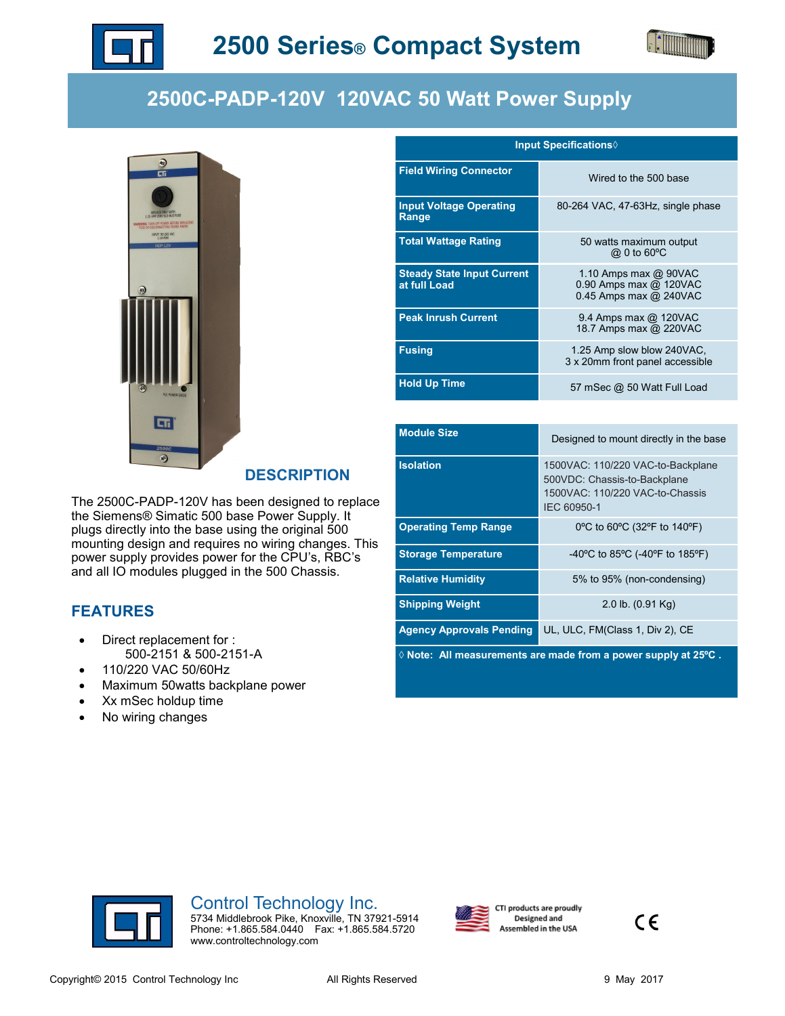



## **2500C-PADP-120V 120VAC 50 Watt Power Supply**



## **DESCRIPTION**

The 2500C-PADP-120V has been designed to replace the Siemens® Simatic 500 base Power Supply. It plugs directly into the base using the original 500 mounting design and requires no wiring changes. This power supply provides power for the CPU's, RBC's and all IO modules plugged in the 500 Chassis.

## **FEATURES**

- Direct replacement for : 500-2151 & 500-2151-A
- 110/220 VAC 50/60Hz
- Maximum 50watts backplane power
- Xx mSec holdup time
- No wiring changes

| <b>Input Specifications</b> ♦                     |                                                                                 |
|---------------------------------------------------|---------------------------------------------------------------------------------|
| <b>Field Wiring Connector</b>                     | Wired to the 500 base                                                           |
| <b>Input Voltage Operating</b><br>Range           | 80-264 VAC, 47-63Hz, single phase                                               |
| <b>Total Wattage Rating</b>                       | 50 watts maximum output<br>@ 0 to 60°C                                          |
| <b>Steady State Input Current</b><br>at full Load | 1.10 Amps max $@$ 90VAC<br>0.90 Amps max @ 120VAC<br>$0.45$ Amps max $@$ 240VAC |
| <b>Peak Inrush Current</b>                        | 9.4 Amps max @ 120VAC<br>18.7 Amps max @ 220VAC                                 |
| <b>Fusing</b>                                     | 1.25 Amp slow blow 240VAC,<br>3 x 20mm front panel accessible                   |
| <b>Hold Up Time</b>                               | 57 mSec @ 50 Watt Full Load                                                     |

| <b>Module Size</b>                                                       | Designed to mount directly in the base                                                                              |
|--------------------------------------------------------------------------|---------------------------------------------------------------------------------------------------------------------|
| <b>Isolation</b>                                                         | 1500VAC: 110/220 VAC-to-Backplane<br>500VDC: Chassis-to-Backplane<br>1500VAC: 110/220 VAC-to-Chassis<br>IEC 60950-1 |
| <b>Operating Temp Range</b>                                              | 0°C to 60°C (32°F to 140°F)                                                                                         |
| <b>Storage Temperature</b>                                               | -40 °C to 85 °C (-40 °F to 185 °F)                                                                                  |
| <b>Relative Humidity</b>                                                 | 5% to 95% (non-condensing)                                                                                          |
| <b>Shipping Weight</b>                                                   | $2.0$ lb. $(0.91$ Kg)                                                                                               |
| <b>Agency Approvals Pending</b>                                          | UL, ULC, FM(Class 1, Div 2), CE                                                                                     |
| $\Diamond$ Note: All measurements are made from a power supply at 25°C . |                                                                                                                     |



## Control Technology Inc.

5734 Middlebrook Pike, Knoxville, TN 37921-5914 Phone: +1.865.584.0440 Fax: +1.865.584.5720 www.controltechnology.com



CTI products are proudly Designed and Assembled in the USA